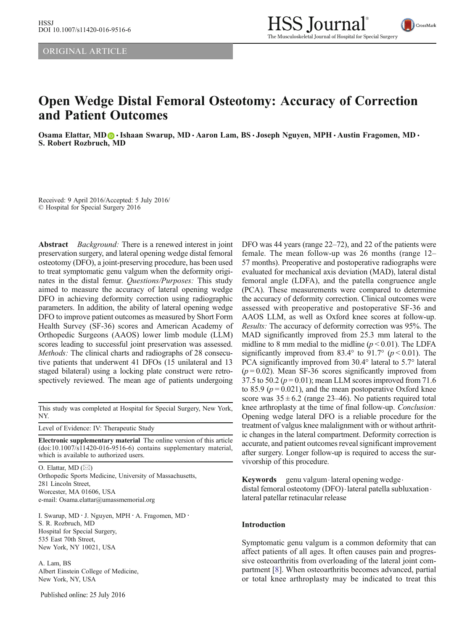ORIGINAL ARTICLE

# Open Wedge Distal Femoral Osteotomy: Accuracy of Correction and Patient Outcomes

Osama Elattar, MD **.** Ishaan Swarup, MD · Aaron Lam, BS · Joseph Nguyen, MPH · Austin Fragomen, MD · S. Robert Rozbruch, MD

Received: 9 April 2016/Accepted: 5 July 2016/  $©$  Hospital for Special Surgery 2016

Abstract Background: There is a renewed interest in joint preservation surgery, and lateral opening wedge distal femoral osteotomy (DFO), a joint-preserving procedure, has been used to treat symptomatic genu valgum when the deformity originates in the distal femur. Questions/Purposes: This study aimed to measure the accuracy of lateral opening wedge DFO in achieving deformity correction using radiographic parameters. In addition, the ability of lateral opening wedge DFO to improve patient outcomes as measured by Short Form Health Survey (SF-36) scores and American Academy of Orthopedic Surgeons (AAOS) lower limb module (LLM) scores leading to successful joint preservation was assessed. Methods: The clinical charts and radiographs of 28 consecutive patients that underwent 41 DFOs (15 unilateral and 13 staged bilateral) using a locking plate construct were retrospectively reviewed. The mean age of patients undergoing

This study was completed at Hospital for Special Surgery, New York, NY.

Level of Evidence: IV: Therapeutic Study

Electronic supplementary material The online version of this article (doi:[10.1007/s11420-016-9516-6](http://dx.doi.org/10.1007/s11420-016-9516-6)) contains supplementary material, which is available to authorized users.

O. Elattar, MD  $(\boxtimes)$ Orthopedic Sports Medicine, University of Massachusetts, 281 Lincoln Street, Worcester, MA 01606, USA e-mail: Osama.elattar@umassmemorial.org

I. Swarup, MD : J. Nguyen, MPH : A. Fragomen, MD : Hospital for Special Surgery, 535 East 70th Street, New York, NY 10021, USA

A. Lam. BS Albert Einstein College of Medicine, New York, NY, USA

Published online: 25 July 2016

DFO was 44 years (range 22–72), and 22 of the patients were female. The mean follow-up was 26 months (range 12– 57 months). Preoperative and postoperative radiographs were evaluated for mechanical axis deviation (MAD), lateral distal femoral angle (LDFA), and the patella congruence angle (PCA). These measurements were compared to determine the accuracy of deformity correction. Clinical outcomes were assessed with preoperative and postoperative SF-36 and AAOS LLM, as well as Oxford knee scores at follow-up. Results: The accuracy of deformity correction was 95%. The MAD significantly improved from 25.3 mm lateral to the midline to 8 mm medial to the midline  $(p < 0.01)$ . The LDFA significantly improved from 83.4 $\degree$  to 91.7 $\degree$  ( $p$  < 0.01). The PCA significantly improved from 30.4° lateral to 5.7° lateral  $(p=0.02)$ . Mean SF-36 scores significantly improved from 37.5 to 50.2 ( $p = 0.01$ ); mean LLM scores improved from 71.6 to 85.9 ( $p = 0.021$ ), and the mean postoperative Oxford knee score was  $35 \pm 6.2$  (range 23–46). No patients required total knee arthroplasty at the time of final follow-up. Conclusion: Opening wedge lateral DFO is a reliable procedure for the treatment of valgus knee malalignment with or without arthritic changes in the lateral compartment. Deformity correction is accurate, and patient outcomes reveal significant improvement after surgery. Longer follow-up is required to access the survivorship of this procedure.

**Keywords** genu valgum lateral opening wedge. distal femoral osteotomy (DFO) $\cdot$  lateral patella subluxation $\cdot$ lateral patellar retinacular release

# Introduction

Symptomatic genu valgum is a common deformity that can affect patients of all ages. It often causes pain and progressive osteoarthritis from overloading of the lateral joint compartment [[8](#page-7-0)]. When osteoarthritis becomes advanced, partial or total knee arthroplasty may be indicated to treat this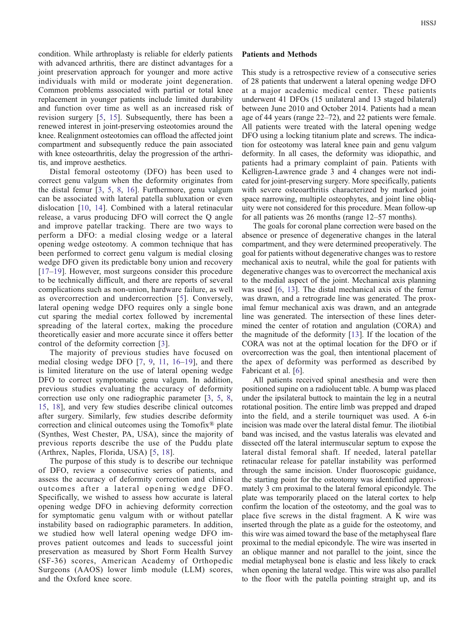condition. While arthroplasty is reliable for elderly patients with advanced arthritis, there are distinct advantages for a joint preservation approach for younger and more active individuals with mild or moderate joint degeneration. Common problems associated with partial or total knee replacement in younger patients include limited durability and function over time as well as an increased risk of revision surgery [[5,](#page-7-0) [15](#page-7-0)]. Subsequently, there has been a renewed interest in joint-preserving osteotomies around the knee. Realignment osteotomies can offload the affected joint compartment and subsequently reduce the pain associated with knee osteoarthritis, delay the progression of the arthritis, and improve aesthetics.

Distal femoral osteotomy (DFO) has been used to correct genu valgum when the deformity originates from the distal femur [[3](#page-6-0), [5](#page-7-0), [8,](#page-7-0) [16\]](#page-7-0). Furthermore, genu valgum can be associated with lateral patella subluxation or even dislocation [\[10,](#page-7-0) [14\]](#page-7-0). Combined with a lateral retinacular release, a varus producing DFO will correct the Q angle and improve patellar tracking. There are two ways to perform a DFO: a medial closing wedge or a lateral opening wedge osteotomy. A common technique that has been performed to correct genu valgum is medial closing wedge DFO given its predictable bony union and recovery [[17](#page-7-0)–[19](#page-7-0)]. However, most surgeons consider this procedure to be technically difficult, and there are reports of several complications such as non-union, hardware failure, as well as overcorrection and undercorrection [[5](#page-7-0)]. Conversely, lateral opening wedge DFO requires only a single bone cut sparing the medial cortex followed by incremental spreading of the lateral cortex, making the procedure theoretically easier and more accurate since it offers better control of the deformity correction [[3](#page-6-0)].

The majority of previous studies have focused on medial closing wedge DFO [\[7,](#page-7-0) [9,](#page-7-0) [11,](#page-7-0) [16](#page-7-0)–[19\]](#page-7-0), and there is limited literature on the use of lateral opening wedge DFO to correct symptomatic genu valgum. In addition, previous studies evaluating the accuracy of deformity correction use only one radiographic parameter [[3](#page-6-0), [5](#page-7-0), [8](#page-7-0), [15,](#page-7-0) [18\]](#page-7-0), and very few studies describe clinical outcomes after surgery. Similarly, few studies describe deformity correction and clinical outcomes using the Tomofix® plate (Synthes, West Chester, PA, USA), since the majority of previous reports describe the use of the Puddu plate (Arthrex, Naples, Florida, USA) [\[5](#page-7-0), [18](#page-7-0)].

The purpose of this study is to describe our technique of DFO, review a consecutive series of patients, and assess the accuracy of deformity correction and clinical outcomes after a lateral opening wedge DFO. Specifically, we wished to assess how accurate is lateral opening wedge DFO in achieving deformity correction for symptomatic genu valgum with or without patellar instability based on radiographic parameters. In addition, we studied how well lateral opening wedge DFO improves patient outcomes and leads to successful joint preservation as measured by Short Form Health Survey (SF-36) scores, American Academy of Orthopedic Surgeons (AAOS) lower limb module (LLM) scores, and the Oxford knee score.

#### Patients and Methods

This study is a retrospective review of a consecutive series of 28 patients that underwent a lateral opening wedge DFO at a major academic medical center. These patients underwent 41 DFOs (15 unilateral and 13 staged bilateral) between June 2010 and October 2014. Patients had a mean age of 44 years (range 22–72), and 22 patients were female. All patients were treated with the lateral opening wedge DFO using a locking titanium plate and screws. The indication for osteotomy was lateral knee pain and genu valgum deformity. In all cases, the deformity was idiopathic, and patients had a primary complaint of pain. Patients with Kelligren-Lawrence grade 3 and 4 changes were not indicated for joint-preserving surgery. More specifically, patients with severe osteoarthritis characterized by marked joint space narrowing, multiple osteophytes, and joint line obliquity were not considered for this procedure. Mean follow-up for all patients was 26 months (range 12–57 months).

The goals for coronal plane correction were based on the absence or presence of degenerative changes in the lateral compartment, and they were determined preoperatively. The goal for patients without degenerative changes was to restore mechanical axis to neutral, while the goal for patients with degenerative changes was to overcorrect the mechanical axis to the medial aspect of the joint. Mechanical axis planning was used [[6,](#page-7-0) [13](#page-7-0)]. The distal mechanical axis of the femur was drawn, and a retrograde line was generated. The proximal femur mechanical axis was drawn, and an antegrade line was generated. The intersection of these lines determined the center of rotation and angulation (CORA) and the magnitude of the deformity [\[13\]](#page-7-0). If the location of the CORA was not at the optimal location for the DFO or if overcorrection was the goal, then intentional placement of the apex of deformity was performed as described by Fabricant et al. [[6\]](#page-7-0).

All patients received spinal anesthesia and were then positioned supine on a radiolucent table. A bump was placed under the ipsilateral buttock to maintain the leg in a neutral rotational position. The entire limb was prepped and draped into the field, and a sterile tourniquet was used. A 6-in incision was made over the lateral distal femur. The iliotibial band was incised, and the vastus lateralis was elevated and dissected off the lateral intermuscular septum to expose the lateral distal femoral shaft. If needed, lateral patellar retinacular release for patellar instability was performed through the same incision. Under fluoroscopic guidance, the starting point for the osteotomy was identified approximately 3 cm proximal to the lateral femoral epicondyle. The plate was temporarily placed on the lateral cortex to help confirm the location of the osteotomy, and the goal was to place five screws in the distal fragment. A K wire was inserted through the plate as a guide for the osteotomy, and this wire was aimed toward the base of the metaphyseal flare proximal to the medial epicondyle. The wire was inserted in an oblique manner and not parallel to the joint, since the medial metaphyseal bone is elastic and less likely to crack when opening the lateral wedge. This wire was also parallel to the floor with the patella pointing straight up, and its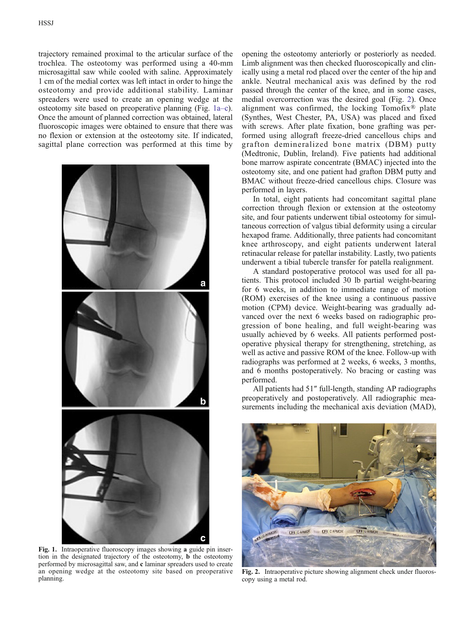trajectory remained proximal to the articular surface of the trochlea. The osteotomy was performed using a 40-mm microsagittal saw while cooled with saline. Approximately 1 cm of the medial cortex was left intact in order to hinge the osteotomy and provide additional stability. Laminar spreaders were used to create an opening wedge at the osteotomy site based on preoperative planning (Fig. 1a–c). Once the amount of planned correction was obtained, lateral fluoroscopic images were obtained to ensure that there was no flexion or extension at the osteotomy site. If indicated, sagittal plane correction was performed at this time by



Fig. 1. Intraoperative fluoroscopy images showing a guide pin insertion in the designated trajectory of the osteotomy, b the osteotomy performed by microsagittal saw, and c laminar spreaders used to create an opening wedge at the osteotomy site based on preoperative planning.

opening the osteotomy anteriorly or posteriorly as needed. Limb alignment was then checked fluoroscopically and clinically using a metal rod placed over the center of the hip and ankle. Neutral mechanical axis was defined by the rod passed through the center of the knee, and in some cases, medial overcorrection was the desired goal (Fig. 2). Once alignment was confirmed, the locking Tomofix® plate (Synthes, West Chester, PA, USA) was placed and fixed with screws. After plate fixation, bone grafting was performed using allograft freeze-dried cancellous chips and grafton demineralized bone matrix (DBM) putty (Medtronic, Dublin, Ireland). Five patients had additional bone marrow aspirate concentrate (BMAC) injected into the osteotomy site, and one patient had grafton DBM putty and BMAC without freeze-dried cancellous chips. Closure was performed in layers.

In total, eight patients had concomitant sagittal plane correction through flexion or extension at the osteotomy site, and four patients underwent tibial osteotomy for simultaneous correction of valgus tibial deformity using a circular hexapod frame. Additionally, three patients had concomitant knee arthroscopy, and eight patients underwent lateral retinacular release for patellar instability. Lastly, two patients underwent a tibial tubercle transfer for patella realignment.

A standard postoperative protocol was used for all patients. This protocol included 30 lb partial weight-bearing for 6 weeks, in addition to immediate range of motion (ROM) exercises of the knee using a continuous passive motion (CPM) device. Weight-bearing was gradually advanced over the next 6 weeks based on radiographic progression of bone healing, and full weight-bearing was usually achieved by 6 weeks. All patients performed postoperative physical therapy for strengthening, stretching, as well as active and passive ROM of the knee. Follow-up with radiographs was performed at 2 weeks, 6 weeks, 3 months, and 6 months postoperatively. No bracing or casting was performed.

All patients had 51″ full-length, standing AP radiographs preoperatively and postoperatively. All radiographic measurements including the mechanical axis deviation (MAD),



Fig. 2. Intraoperative picture showing alignment check under fluoroscopy using a metal rod.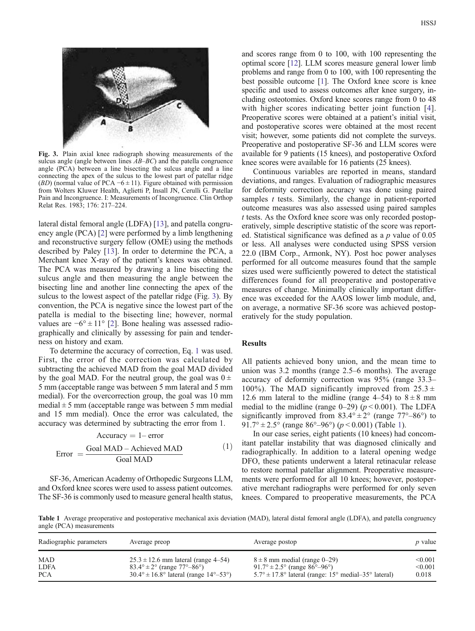<span id="page-3-0"></span>

Fig. 3. Plain axial knee radiograph showing measurements of the sulcus angle (angle between lines  $AB$ –BC) and the patella congruence angle (PCA) between a line bisecting the sulcus angle and a line connecting the apex of the sulcus to the lowest part of patellar ridge (BD) (normal value of PCA  $-6 \pm 11$ ). Figure obtained with permission from Wolters Kluwer Health, Aglietti P, Insall JN, Cerulli G. Patellar Pain and Incongruence. I: Measurements of Incongruence. Clin Orthop Relat Res. 1983; 176: 217–224.

lateral distal femoral angle (LDFA) [[13\]](#page-7-0), and patella congruency angle (PCA) [\[2](#page-6-0)] were performed by a limb lengthening and reconstructive surgery fellow (OME) using the methods described by Paley [[13\]](#page-7-0). In order to determine the PCA, a Merchant knee X-ray of the patient's knees was obtained. The PCA was measured by drawing a line bisecting the sulcus angle and then measuring the angle between the bisecting line and another line connecting the apex of the sulcus to the lowest aspect of the patellar ridge (Fig. 3). By convention, the PCA is negative since the lowest part of the patella is medial to the bisecting line; however, normal values are −6° ± 11° [\[2](#page-6-0)]. Bone healing was assessed radiographically and clinically by assessing for pain and tenderness on history and exam.

To determine the accuracy of correction, Eq. 1 was used. First, the error of the correction was calculated by subtracting the achieved MAD from the goal MAD divided by the goal MAD. For the neutral group, the goal was  $0 \pm$ 5 mm (acceptable range was between 5 mm lateral and 5 mm medial). For the overcorrection group, the goal was 10 mm medial  $\pm$  5 mm (acceptable range was between 5 mm medial and 15 mm medial). Once the error was calculated, the accuracy was determined by subtracting the error from 1.

$$
Accuracy = 1 - error
$$
  
Error = 
$$
\frac{Goal MAD - achieved MAD}{Goal MAD}
$$
 (1)

SF-36, American Academy of Orthopedic Surgeons LLM, and Oxford knee scores were used to assess patient outcomes. The SF-36 is commonly used to measure general health status,

and scores range from 0 to 100, with 100 representing the optimal score [[12\]](#page-7-0). LLM scores measure general lower limb problems and range from 0 to 100, with 100 representing the best possible outcome [[1\]](#page-6-0). The Oxford knee score is knee specific and used to assess outcomes after knee surgery, including osteotomies. Oxford knee scores range from 0 to 48 with higher scores indicating better joint function [[4\]](#page-7-0). Preoperative scores were obtained at a patient's initial visit, and postoperative scores were obtained at the most recent visit; however, some patients did not complete the surveys. Preoperative and postoperative SF-36 and LLM scores were available for 9 patients (15 knees), and postoperative Oxford knee scores were available for 16 patients (25 knees).

Continuous variables are reported in means, standard deviations, and ranges. Evaluation of radiographic measures for deformity correction accuracy was done using paired samples  $t$  tests. Similarly, the change in patient-reported outcome measures was also assessed using paired samples t tests. As the Oxford knee score was only recorded postoperatively, simple descriptive statistic of the score was reported. Statistical significance was defined as a  $p$  value of 0.05 or less. All analyses were conducted using SPSS version 22.0 (IBM Corp., Armonk, NY). Post hoc power analyses performed for all outcome measures found that the sample sizes used were sufficiently powered to detect the statistical differences found for all preoperative and postoperative measures of change. Minimally clinically important difference was exceeded for the AAOS lower limb module, and, on average, a normative SF-36 score was achieved postoperatively for the study population.

#### Results

All patients achieved bony union, and the mean time to union was 3.2 months (range 2.5–6 months). The average accuracy of deformity correction was 95% (range 33.3– 100%). The MAD significantly improved from  $25.3 \pm$ 12.6 mm lateral to the midline (range 4–54) to  $8 \pm 8$  mm medial to the midline (range  $0-29$ ) ( $p < 0.001$ ). The LDFA significantly improved from  $83.4^{\circ} \pm 2^{\circ}$  (range  $77^{\circ} - 86^{\circ}$ ) to 91.7°  $\pm$  2.5° (range 86°–96°) ( $p$  < 0.001) (Table 1).

In our case series, eight patients (10 knees) had concomitant patellar instability that was diagnosed clinically and radiographically. In addition to a lateral opening wedge DFO, these patients underwent a lateral retinacular release to restore normal patellar alignment. Preoperative measurements were performed for all 10 knees; however, postoperative merchant radiographs were performed for only seven knees. Compared to preoperative measurements, the PCA

Table 1 Average preoperative and postoperative mechanical axis deviation (MAD), lateral distal femoral angle (LDFA), and patella congruency angle (PCA) measurements

| Radiographic parameters | Average preop                                                                                                              | Average postop                                                                                                           | <i>p</i> value   |
|-------------------------|----------------------------------------------------------------------------------------------------------------------------|--------------------------------------------------------------------------------------------------------------------------|------------------|
| MAD                     | $25.3 \pm 12.6$ mm lateral (range 4-54)                                                                                    | $8 \pm 8$ mm medial (range 0–29)                                                                                         | < 0.001          |
| LDFA<br><b>PCA</b>      | $83.4^{\circ} \pm 2^{\circ}$ (range $77^{\circ} - 86^{\circ}$ )<br>$30.4^{\circ} \pm 16.8^{\circ}$ lateral (range 14°–53°) | $91.7^{\circ} \pm 2.5^{\circ}$ (range 86°–96°)<br>$5.7^{\circ} \pm 17.8^{\circ}$ lateral (range: 15° medial-35° lateral) | < 0.001<br>0.018 |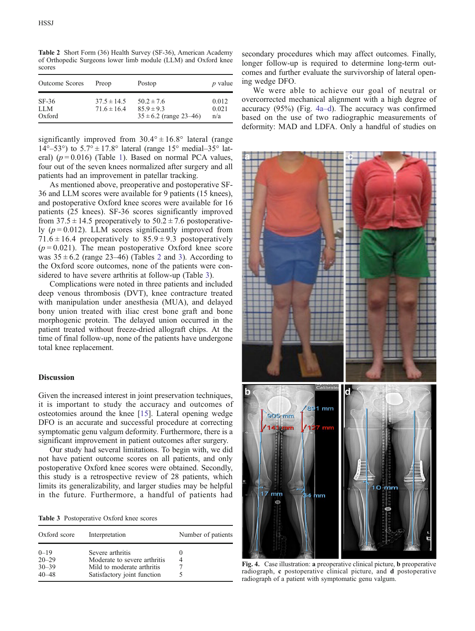Table 2 Short Form (36) Health Survey (SF-36), American Academy of Orthopedic Surgeons lower limb module (LLM) and Oxford knee scores

| <b>Outcome Scores</b>    | Preop                              | Postop                                                         | <i>p</i> value        |
|--------------------------|------------------------------------|----------------------------------------------------------------|-----------------------|
| $SF-36$<br>LLM<br>Oxford | $37.5 \pm 14.5$<br>$71.6 \pm 16.4$ | $50.2 \pm 7.6$<br>$85.9 \pm 9.3$<br>$35 \pm 6.2$ (range 23–46) | 0.012<br>0.021<br>n/a |

significantly improved from  $30.4^{\circ} \pm 16.8^{\circ}$  lateral (range 14°–53°) to  $5.7^\circ \pm 17.8^\circ$  lateral (range 15° medial–35° lateral) ( $p = 0.016$  $p = 0.016$  $p = 0.016$ ) (Table 1). Based on normal PCA values, four out of the seven knees normalized after surgery and all patients had an improvement in patellar tracking.

As mentioned above, preoperative and postoperative SF-36 and LLM scores were available for 9 patients (15 knees), and postoperative Oxford knee scores were available for 16 patients (25 knees). SF-36 scores significantly improved from  $37.5 \pm 14.5$  preoperatively to  $50.2 \pm 7.6$  postoperatively ( $p = 0.012$ ). LLM scores significantly improved from  $71.6 \pm 16.4$  preoperatively to  $85.9 \pm 9.3$  postoperatively  $(p=0.021)$ . The mean postoperative Oxford knee score was  $35 \pm 6.2$  (range 23–46) (Tables 2 and 3). According to the Oxford score outcomes, none of the patients were considered to have severe arthritis at follow-up (Table 3).

Complications were noted in three patients and included deep venous thrombosis (DVT), knee contracture treated with manipulation under anesthesia (MUA), and delayed bony union treated with iliac crest bone graft and bone morphogenic protein. The delayed union occurred in the patient treated without freeze-dried allograft chips. At the time of final follow-up, none of the patients have undergone total knee replacement.

### Discussion

Given the increased interest in joint preservation techniques, it is important to study the accuracy and outcomes of osteotomies around the knee [[15](#page-7-0)]. Lateral opening wedge DFO is an accurate and successful procedure at correcting symptomatic genu valgum deformity. Furthermore, there is a significant improvement in patient outcomes after surgery.

Our study had several limitations. To begin with, we did not have patient outcome scores on all patients, and only postoperative Oxford knee scores were obtained. Secondly, this study is a retrospective review of 28 patients, which limits its generalizability, and larger studies may be helpful in the future. Furthermore, a handful of patients had

| Oxford score | Interpretation               | Number of patients |
|--------------|------------------------------|--------------------|
| $0 - 19$     | Severe arthritis             |                    |
| $20 - 29$    | Moderate to severe arthritis |                    |
| $30 - 39$    | Mild to moderate arthritis   |                    |
| $40 - 48$    | Satisfactory joint function  |                    |

secondary procedures which may affect outcomes. Finally, longer follow-up is required to determine long-term outcomes and further evaluate the survivorship of lateral opening wedge DFO.

We were able to achieve our goal of neutral or overcorrected mechanical alignment with a high degree of accuracy (95%) (Fig. 4a–d). The accuracy was confirmed based on the use of two radiographic measurements of deformity: MAD and LDFA. Only a handful of studies on



Fig. 4. Case illustration: a preoperative clinical picture, b preoperative radiograph, c postoperative clinical picture, and d postoperative radiograph of a patient with symptomatic genu valgum.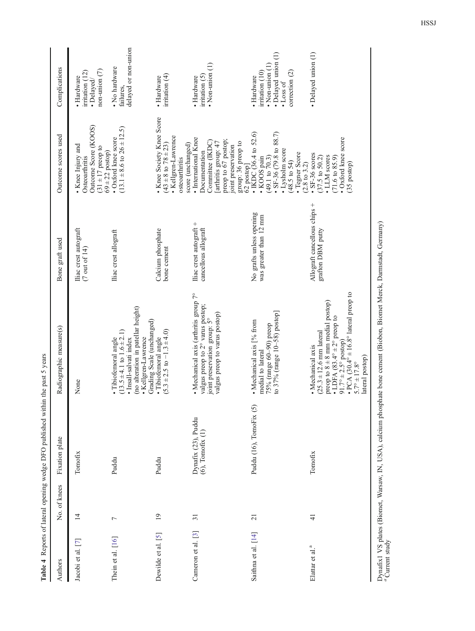<span id="page-5-0"></span>

|                             |                 | Table 4 Reports of lateral opening wedge DFO published within the past 5 years |                                                                                                                                                                                                                                                                          |                                                    |                                                                                                                                                                             |                                                                                                                  |
|-----------------------------|-----------------|--------------------------------------------------------------------------------|--------------------------------------------------------------------------------------------------------------------------------------------------------------------------------------------------------------------------------------------------------------------------|----------------------------------------------------|-----------------------------------------------------------------------------------------------------------------------------------------------------------------------------|------------------------------------------------------------------------------------------------------------------|
| Authors                     | No. of knees    | Fixation plate                                                                 | Radiographic measure(s)                                                                                                                                                                                                                                                  | Bone graft used                                    | Outcome scores used                                                                                                                                                         | Complications                                                                                                    |
| Jacobi et al. [7]           | $\overline{4}$  | Tomofix                                                                        | None                                                                                                                                                                                                                                                                     | Iliac crest autograft<br>$(7$ out of $14)$         | Outcome Score (KOOS)<br>• Knee Injury and<br>$(31 \pm 17 \text{ prop to})$<br>$69 \pm 22$ postop)<br>Osteoarthritis                                                         | non-union (7)<br>irritation $(12)$<br>· Hardware<br>· Delayed/                                                   |
| Thein et al. [16]           | 7               | Puddu                                                                          | (no alteration in patellar height)<br>Grading Scale (unchanged)<br>$(13.5 \pm 4.1 \text{ to } 1.6 \pm 2.1)$<br>· Kellgren-Lawrence<br>· Tibiofemoral angle<br>· Insall-salvati index                                                                                     | Iliac crest allograft                              | $(13.1 \pm 8.6 \text{ to } 26 \pm 12.5)$<br>• Oxford knee score                                                                                                             | delayed or non-union<br>• No hardware<br>failures,                                                               |
| Dewilde et al. [5]          | $\overline{0}$  | Puddu                                                                          | $(5.3 \pm 2.5 \text{ to } -1.3 \pm 4.0)$<br>· Tibiofemoral angle                                                                                                                                                                                                         | Calcium phosphate<br>bone cement                   | • Knee Society Knee Score<br>· Kellgren-Lawrence<br>$(43 \pm 8 \text{ to } 78 \pm 23)$<br>score (unchanged)<br>osteoarthritis                                               | irritation (4)<br>· Hardware                                                                                     |
| Cameron et al. [3]          | $\overline{31}$ | Dynafix $(23)$ , Puddu $(6)$ , Tomofix $(1)$                                   | · Mechanical axis (arthritis group 7°<br>valgus preop to 2° varus postop;<br>valgus preop to varus postop)<br>joint preservation group: 5°                                                                                                                               | Iliac crest autograft +<br>cancellous allograft    | • International Knee<br>preop to 67 postop;<br>Committee (IKDC)<br>group: 36 preop to<br>arthritis group: 47<br>joint preservation<br>Documentation<br>62 postop]           | $\bullet$ Non-union $(1)$<br>irritation <sub>(5)</sub><br>· Hardware                                             |
| Saithna et al. [14]         | $\overline{21}$ | Puddu (16), TomoFix (5)                                                        | to $37\%$ (range $10-58$ ) postop]<br>• Mechanical axis [% from<br>75% (range 60-90) preop<br>medial to lateral                                                                                                                                                          | No grafts unless opening<br>was greater than 12 mm | $\cdot$ KDC (36.4 to 52.6)<br>$\cdot$ SF-36 (79.8 to 88.7)<br>• Lysholm score<br>· Tegner Score<br>(49.1 to 70.3)<br>· KOOS pain<br>(48.5 to 54)<br>$(2.8 \text{ to } 3.2)$ | · Delayed union (1)<br>$\bullet$ Non-union $(1)$<br>correction (2)<br>irritation (10)<br>· Hardware<br>• Loss of |
| Elattar et al. <sup>a</sup> | $\frac{4}{5}$   | Tomofix                                                                        | • PCA $(30.4^{\circ} \pm 16.8^{\circ})$ lateral preop to<br>preop to $8 \pm 8$ mm medial postop)<br>• LDFA (83.4° $\pm$ 2° preop to<br>$(25.3 \pm 12.6$ mm lateral<br>91.7° $\pm$ 2.5° postop)<br>· Mechanical axis<br>lateral postop)<br>$5.7^{\circ} \pm 17.8^{\circ}$ | Allograft cancellous chips +<br>grafton DBM putty  | • Oxford knee score<br>$\cdot$ SF-36 scores<br>· LLM scores<br>$(71.6 \text{ to } 85.9)$<br>$(37.5 \text{ to } 50.2)$<br>(35 postop)                                        | · Delayed union (1)                                                                                              |

Dynafix I VS plates (Biomet, Warsaw, IN, USA), calcium phosphate bone cement (Biobon, Biomet Merck, Darmstadt, Germany)<br>"Current study Dynafix1 VS plates (Biomet, Warsaw, IN, USA), calcium phosphate bone cement (Biobon, Biomet Merck, Darmstadt, Germany) aCurrent study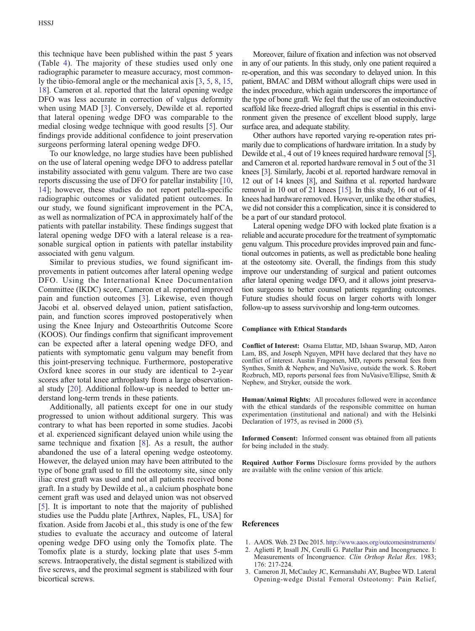<span id="page-6-0"></span>this technique have been published within the past 5 years (Table [4\)](#page-5-0). The majority of these studies used only one radiographic parameter to measure accuracy, most commonly the tibio-femoral angle or the mechanical axis [3, [5](#page-7-0), [8](#page-7-0), [15](#page-7-0), [18](#page-7-0)]. Cameron et al. reported that the lateral opening wedge DFO was less accurate in correction of valgus deformity when using MAD [3]. Conversely, Dewilde et al. reported that lateral opening wedge DFO was comparable to the medial closing wedge technique with good results [[5](#page-7-0)]. Our findings provide additional confidence to joint preservation surgeons performing lateral opening wedge DFO.

To our knowledge, no large studies have been published on the use of lateral opening wedge DFO to address patellar instability associated with genu valgum. There are two case reports discussing the use of DFO for patellar instability [\[10](#page-7-0), [14](#page-7-0)]; however, these studies do not report patella-specific radiographic outcomes or validated patient outcomes. In our study, we found significant improvement in the PCA, as well as normalization of PCA in approximately half of the patients with patellar instability. These findings suggest that lateral opening wedge DFO with a lateral release is a reasonable surgical option in patients with patellar instability associated with genu valgum.

Similar to previous studies, we found significant improvements in patient outcomes after lateral opening wedge DFO. Using the International Knee Documentation Committee (IKDC) score, Cameron et al. reported improved pain and function outcomes [3]. Likewise, even though Jacobi et al. observed delayed union, patient satisfaction, pain, and function scores improved postoperatively when using the Knee Injury and Osteoarthritis Outcome Score (KOOS). Our findings confirm that significant improvement can be expected after a lateral opening wedge DFO, and patients with symptomatic genu valgum may benefit from this joint-preserving technique. Furthermore, postoperative Oxford knee scores in our study are identical to 2-year scores after total knee arthroplasty from a large observational study [[20](#page-7-0)]. Additional follow-up is needed to better understand long-term trends in these patients.

Additionally, all patients except for one in our study progressed to union without additional surgery. This was contrary to what has been reported in some studies. Jacobi et al. experienced significant delayed union while using the same technique and fixation [[8\]](#page-7-0). As a result, the author abandoned the use of a lateral opening wedge osteotomy. However, the delayed union may have been attributed to the type of bone graft used to fill the osteotomy site, since only iliac crest graft was used and not all patients received bone graft. In a study by Dewilde et al., a calcium phosphate bone cement graft was used and delayed union was not observed [\[5\]](#page-7-0). It is important to note that the majority of published studies use the Puddu plate [Arthrex, Naples, FL, USA] for fixation. Aside from Jacobi et al., this study is one of the few studies to evaluate the accuracy and outcome of lateral opening wedge DFO using only the Tomofix plate. The Tomofix plate is a sturdy, locking plate that uses 5-mm screws. Intraoperatively, the distal segment is stabilized with five screws, and the proximal segment is stabilized with four bicortical screws.

Moreover, failure of fixation and infection was not observed in any of our patients. In this study, only one patient required a re-operation, and this was secondary to delayed union. In this patient, BMAC and DBM without allograft chips were used in the index procedure, which again underscores the importance of the type of bone graft. We feel that the use of an osteoinductive scaffold like freeze-dried allograft chips is essential in this environment given the presence of excellent blood supply, large surface area, and adequate stability.

Other authors have reported varying re-operation rates primarily due to complications of hardware irritation. In a study by Dewilde et al., 4 out of 19 knees required hardware removal [[5\]](#page-7-0). and Cameron et al. reported hardware removal in 5 out of the 31 knees [3]. Similarly, Jacobi et al. reported hardware removal in 12 out of 14 knees [[8](#page-7-0)], and Saithna et al. reported hardware removal in 10 out of 21 knees [\[15](#page-7-0)]. In this study, 16 out of 41 knees had hardware removed. However, unlike the other studies, we did not consider this a complication, since it is considered to be a part of our standard protocol.

Lateral opening wedge DFO with locked plate fixation is a reliable and accurate procedure for the treatment of symptomatic genu valgum. This procedure provides improved pain and functional outcomes in patients, as well as predictable bone healing at the osteotomy site. Overall, the findings from this study improve our understanding of surgical and patient outcomes after lateral opening wedge DFO, and it allows joint preservation surgeons to better counsel patients regarding outcomes. Future studies should focus on larger cohorts with longer follow-up to assess survivorship and long-term outcomes.

#### Compliance with Ethical Standards

Conflict of Interest: Osama Elattar, MD, Ishaan Swarup, MD, Aaron Lam, BS, and Joseph Nguyen, MPH have declared that they have no conflict of interest. Austin Fragomen, MD, reports personal fees from Synthes, Smith & Nephew, and NuVasive, outside the work. S. Robert Rozbruch, MD, reports personal fees from NuVasive/Ellipse, Smith & Nephew, and Stryker, outside the work.

Human/Animal Rights: All procedures followed were in accordance with the ethical standards of the responsible committee on human experimentation (institutional and national) and with the Helsinki Declaration of 1975, as revised in 2000 (5).

Informed Consent: Informed consent was obtained from all patients for being included in the study.

Required Author Forms Disclosure forms provided by the authors are available with the online version of this article.

# References

- 1. AAOS. Web. 23 Dec 2015. <http://www.aaos.org/outcomesinstruments/>
- 2. Aglietti P, Insall JN, Cerulli G. Patellar Pain and Incongruence. I: Measurements of Incongruence. Clin Orthop Relat Res. 1983; 176: 217-224.
- 3. Cameron JI, McCauley JC, Kermanshahi AY, Bugbee WD. Lateral Opening-wedge Distal Femoral Osteotomy: Pain Relief,